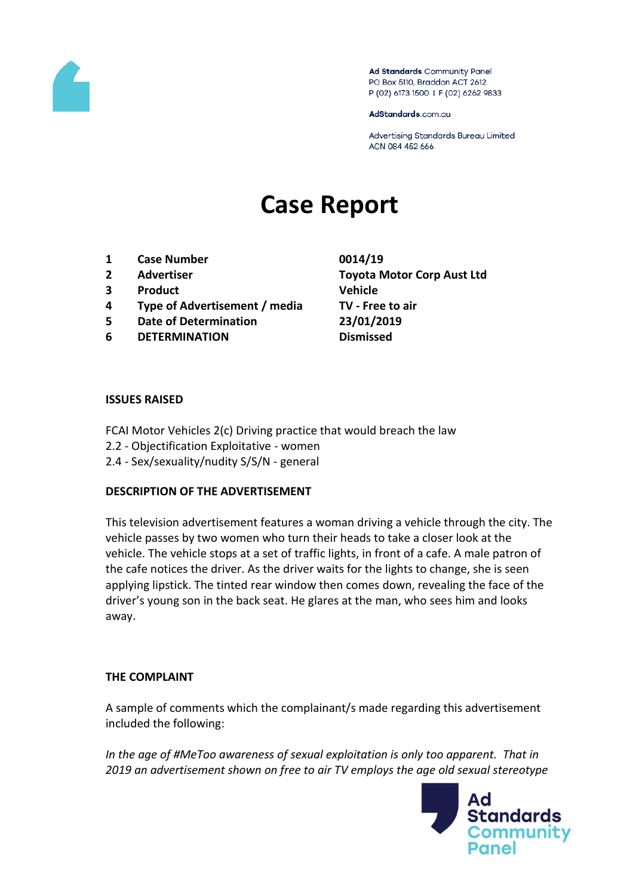

Ad Standards Community Panel PO Box 5110, Braddon ACT 2612 P (02) 6173 1500 | F (02) 6262 9833

AdStandards.com.au

Advertising Standards Bureau Limited ACN 084 452 666

# **Case Report**

- **1 Case Number 0014/19**
- 
- **3 Product Vehicle**
- **4 Type of Advertisement / media TV - Free to air**
- **5 Date of Determination 23/01/2019**
- **6 DETERMINATION Dismissed**

**2 Advertiser Toyota Motor Corp Aust Ltd**

### **ISSUES RAISED**

- FCAI Motor Vehicles 2(c) Driving practice that would breach the law
- 2.2 Objectification Exploitative women
- 2.4 Sex/sexuality/nudity S/S/N general

### **DESCRIPTION OF THE ADVERTISEMENT**

This television advertisement features a woman driving a vehicle through the city. The vehicle passes by two women who turn their heads to take a closer look at the vehicle. The vehicle stops at a set of traffic lights, in front of a cafe. A male patron of the cafe notices the driver. As the driver waits for the lights to change, she is seen applying lipstick. The tinted rear window then comes down, revealing the face of the driver's young son in the back seat. He glares at the man, who sees him and looks away.

### **THE COMPLAINT**

A sample of comments which the complainant/s made regarding this advertisement included the following:

*In the age of #MeToo awareness of sexual exploitation is only too apparent. That in 2019 an advertisement shown on free to air TV employs the age old sexual stereotype* 

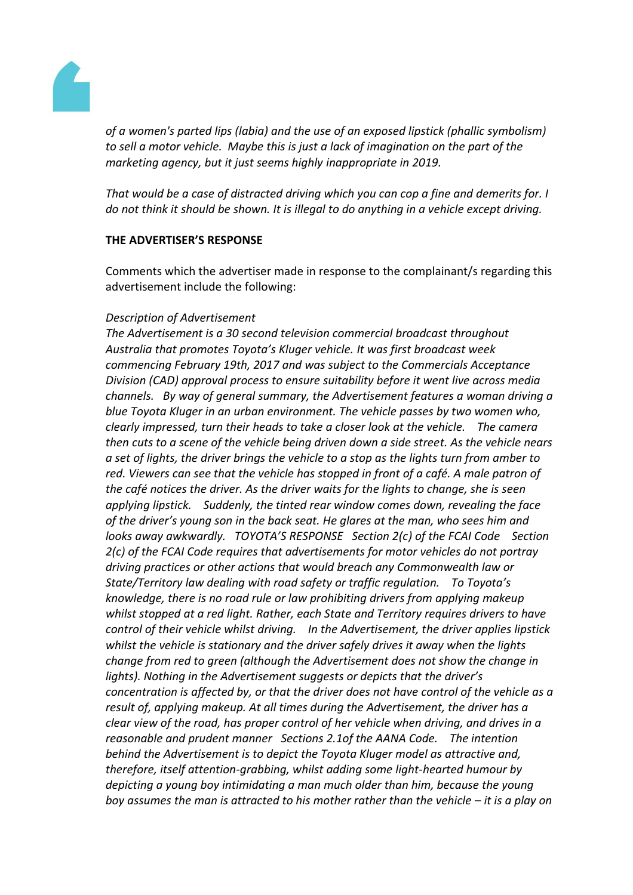

*of a women's parted lips (labia) and the use of an exposed lipstick (phallic symbolism) to sell a motor vehicle. Maybe this is just a lack of imagination on the part of the marketing agency, but it just seems highly inappropriate in 2019.*

*That would be a case of distracted driving which you can cop a fine and demerits for. I do not think it should be shown. It is illegal to do anything in a vehicle except driving.*

# **THE ADVERTISER'S RESPONSE**

Comments which the advertiser made in response to the complainant/s regarding this advertisement include the following:

# *Description of Advertisement*

*The Advertisement is a 30 second television commercial broadcast throughout Australia that promotes Toyota's Kluger vehicle. It was first broadcast week commencing February 19th, 2017 and was subject to the Commercials Acceptance Division (CAD) approval process to ensure suitability before it went live across media channels. By way of general summary, the Advertisement features a woman driving a blue Toyota Kluger in an urban environment. The vehicle passes by two women who, clearly impressed, turn their heads to take a closer look at the vehicle. The camera then cuts to a scene of the vehicle being driven down a side street. As the vehicle nears a set of lights, the driver brings the vehicle to a stop as the lights turn from amber to red. Viewers can see that the vehicle has stopped in front of a café. A male patron of the café notices the driver. As the driver waits for the lights to change, she is seen applying lipstick. Suddenly, the tinted rear window comes down, revealing the face of the driver's young son in the back seat. He glares at the man, who sees him and looks away awkwardly. TOYOTA'S RESPONSE Section 2(c) of the FCAI Code Section 2(c) of the FCAI Code requires that advertisements for motor vehicles do not portray driving practices or other actions that would breach any Commonwealth law or State/Territory law dealing with road safety or traffic regulation. To Toyota's knowledge, there is no road rule or law prohibiting drivers from applying makeup whilst stopped at a red light. Rather, each State and Territory requires drivers to have control of their vehicle whilst driving. In the Advertisement, the driver applies lipstick whilst the vehicle is stationary and the driver safely drives it away when the lights change from red to green (although the Advertisement does not show the change in lights). Nothing in the Advertisement suggests or depicts that the driver's concentration is affected by, or that the driver does not have control of the vehicle as a result of, applying makeup. At all times during the Advertisement, the driver has a clear view of the road, has proper control of her vehicle when driving, and drives in a reasonable and prudent manner Sections 2.1of the AANA Code. The intention behind the Advertisement is to depict the Toyota Kluger model as attractive and, therefore, itself attention-grabbing, whilst adding some light-hearted humour by depicting a young boy intimidating a man much older than him, because the young boy assumes the man is attracted to his mother rather than the vehicle – it is a play on*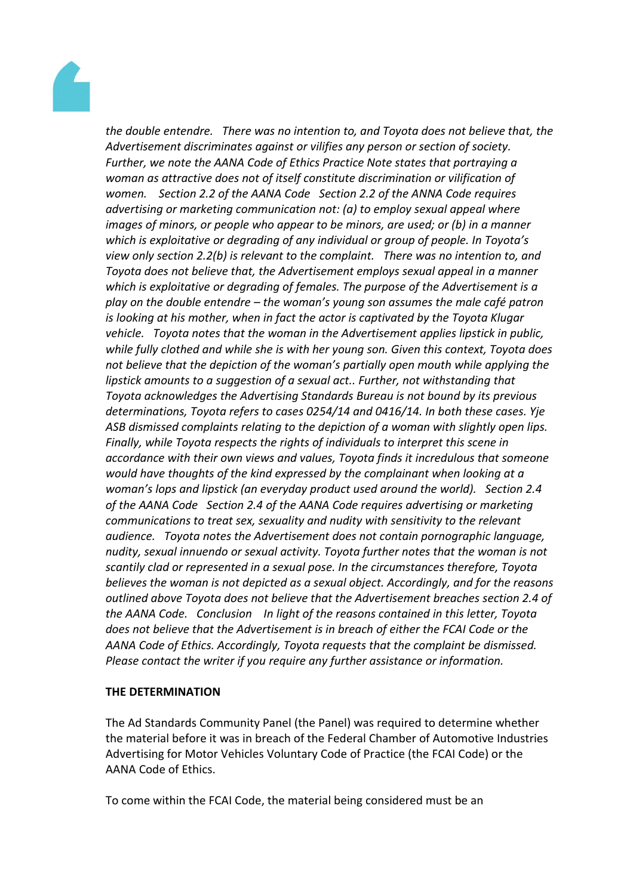

*the double entendre. There was no intention to, and Toyota does not believe that, the Advertisement discriminates against or vilifies any person or section of society. Further, we note the AANA Code of Ethics Practice Note states that portraying a woman as attractive does not of itself constitute discrimination or vilification of women. Section 2.2 of the AANA Code Section 2.2 of the ANNA Code requires advertising or marketing communication not: (a) to employ sexual appeal where images of minors, or people who appear to be minors, are used; or (b) in a manner which is exploitative or degrading of any individual or group of people. In Toyota's view only section 2.2(b) is relevant to the complaint. There was no intention to, and Toyota does not believe that, the Advertisement employs sexual appeal in a manner which is exploitative or degrading of females. The purpose of the Advertisement is a play on the double entendre – the woman's young son assumes the male café patron is looking at his mother, when in fact the actor is captivated by the Toyota Klugar vehicle. Toyota notes that the woman in the Advertisement applies lipstick in public, while fully clothed and while she is with her young son. Given this context, Toyota does not believe that the depiction of the woman's partially open mouth while applying the lipstick amounts to a suggestion of a sexual act.. Further, not withstanding that Toyota acknowledges the Advertising Standards Bureau is not bound by its previous determinations, Toyota refers to cases 0254/14 and 0416/14. In both these cases. Yje ASB dismissed complaints relating to the depiction of a woman with slightly open lips. Finally, while Toyota respects the rights of individuals to interpret this scene in accordance with their own views and values, Toyota finds it incredulous that someone would have thoughts of the kind expressed by the complainant when looking at a woman's lops and lipstick (an everyday product used around the world). Section 2.4 of the AANA Code Section 2.4 of the AANA Code requires advertising or marketing communications to treat sex, sexuality and nudity with sensitivity to the relevant audience. Toyota notes the Advertisement does not contain pornographic language, nudity, sexual innuendo or sexual activity. Toyota further notes that the woman is not scantily clad or represented in a sexual pose. In the circumstances therefore, Toyota believes the woman is not depicted as a sexual object. Accordingly, and for the reasons outlined above Toyota does not believe that the Advertisement breaches section 2.4 of the AANA Code. Conclusion In light of the reasons contained in this letter, Toyota does not believe that the Advertisement is in breach of either the FCAI Code or the AANA Code of Ethics. Accordingly, Toyota requests that the complaint be dismissed. Please contact the writer if you require any further assistance or information.*

### **THE DETERMINATION**

The Ad Standards Community Panel (the Panel) was required to determine whether the material before it was in breach of the Federal Chamber of Automotive Industries Advertising for Motor Vehicles Voluntary Code of Practice (the FCAI Code) or the AANA Code of Ethics.

To come within the FCAI Code, the material being considered must be an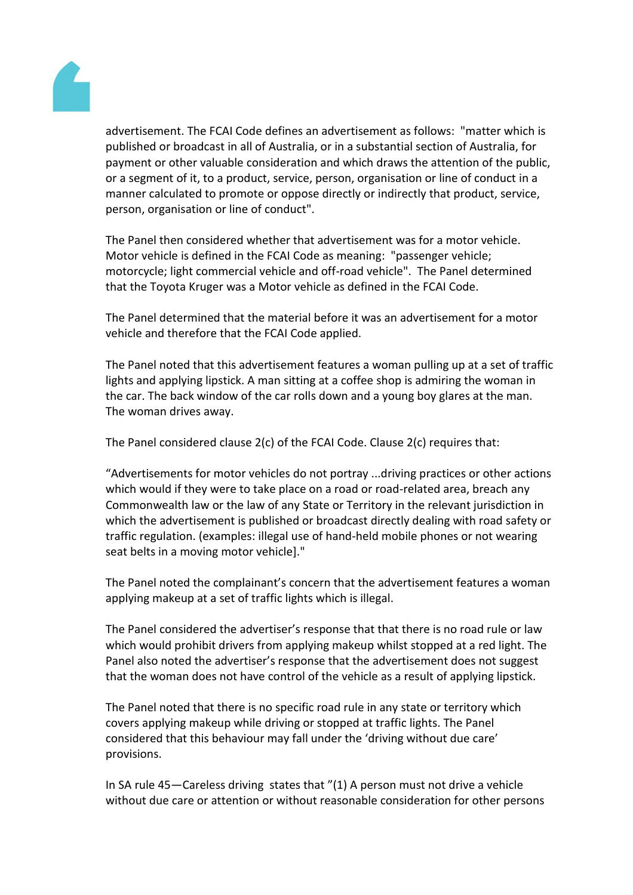

advertisement. The FCAI Code defines an advertisement as follows: "matter which is published or broadcast in all of Australia, or in a substantial section of Australia, for payment or other valuable consideration and which draws the attention of the public, or a segment of it, to a product, service, person, organisation or line of conduct in a manner calculated to promote or oppose directly or indirectly that product, service, person, organisation or line of conduct".

The Panel then considered whether that advertisement was for a motor vehicle. Motor vehicle is defined in the FCAI Code as meaning: "passenger vehicle; motorcycle; light commercial vehicle and off-road vehicle". The Panel determined that the Toyota Kruger was a Motor vehicle as defined in the FCAI Code.

The Panel determined that the material before it was an advertisement for a motor vehicle and therefore that the FCAI Code applied.

The Panel noted that this advertisement features a woman pulling up at a set of traffic lights and applying lipstick. A man sitting at a coffee shop is admiring the woman in the car. The back window of the car rolls down and a young boy glares at the man. The woman drives away.

The Panel considered clause 2(c) of the FCAI Code. Clause 2(c) requires that:

"Advertisements for motor vehicles do not portray ...driving practices or other actions which would if they were to take place on a road or road-related area, breach any Commonwealth law or the law of any State or Territory in the relevant jurisdiction in which the advertisement is published or broadcast directly dealing with road safety or traffic regulation. (examples: illegal use of hand-held mobile phones or not wearing seat belts in a moving motor vehicle]."

The Panel noted the complainant's concern that the advertisement features a woman applying makeup at a set of traffic lights which is illegal.

The Panel considered the advertiser's response that that there is no road rule or law which would prohibit drivers from applying makeup whilst stopped at a red light. The Panel also noted the advertiser's response that the advertisement does not suggest that the woman does not have control of the vehicle as a result of applying lipstick.

The Panel noted that there is no specific road rule in any state or territory which covers applying makeup while driving or stopped at traffic lights. The Panel considered that this behaviour may fall under the 'driving without due care' provisions.

In SA rule 45—Careless driving states that "(1) A person must not drive a vehicle without due care or attention or without reasonable consideration for other persons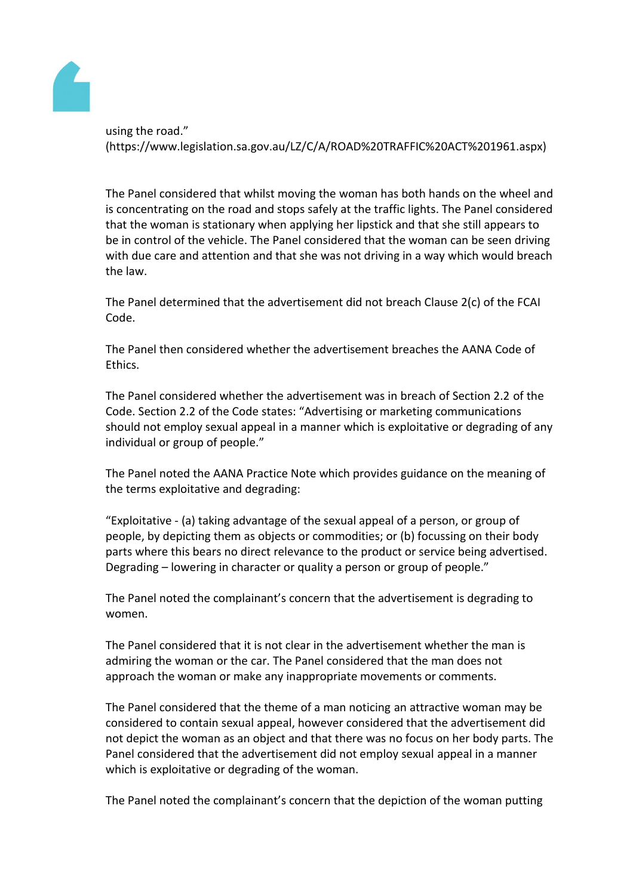

using the road." (https://www.legislation.sa.gov.au/LZ/C/A/ROAD%20TRAFFIC%20ACT%201961.aspx)

The Panel considered that whilst moving the woman has both hands on the wheel and is concentrating on the road and stops safely at the traffic lights. The Panel considered that the woman is stationary when applying her lipstick and that she still appears to be in control of the vehicle. The Panel considered that the woman can be seen driving with due care and attention and that she was not driving in a way which would breach the law.

The Panel determined that the advertisement did not breach Clause 2(c) of the FCAI Code.

The Panel then considered whether the advertisement breaches the AANA Code of Ethics.

The Panel considered whether the advertisement was in breach of Section 2.2 of the Code. Section 2.2 of the Code states: "Advertising or marketing communications should not employ sexual appeal in a manner which is exploitative or degrading of any individual or group of people."

The Panel noted the AANA Practice Note which provides guidance on the meaning of the terms exploitative and degrading:

"Exploitative - (a) taking advantage of the sexual appeal of a person, or group of people, by depicting them as objects or commodities; or (b) focussing on their body parts where this bears no direct relevance to the product or service being advertised. Degrading – lowering in character or quality a person or group of people."

The Panel noted the complainant's concern that the advertisement is degrading to women.

The Panel considered that it is not clear in the advertisement whether the man is admiring the woman or the car. The Panel considered that the man does not approach the woman or make any inappropriate movements or comments.

The Panel considered that the theme of a man noticing an attractive woman may be considered to contain sexual appeal, however considered that the advertisement did not depict the woman as an object and that there was no focus on her body parts. The Panel considered that the advertisement did not employ sexual appeal in a manner which is exploitative or degrading of the woman.

The Panel noted the complainant's concern that the depiction of the woman putting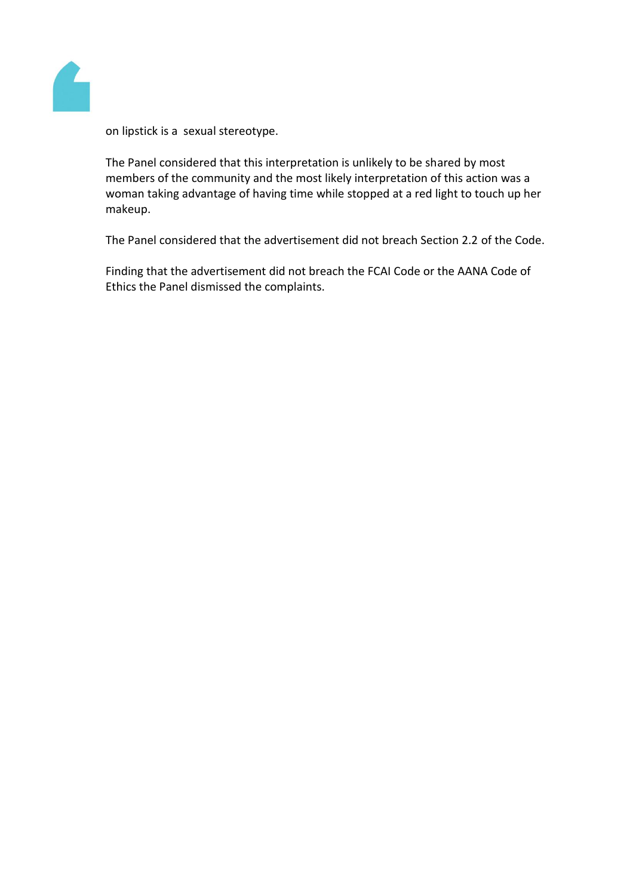

on lipstick is a sexual stereotype.

The Panel considered that this interpretation is unlikely to be shared by most members of the community and the most likely interpretation of this action was a woman taking advantage of having time while stopped at a red light to touch up her makeup.

The Panel considered that the advertisement did not breach Section 2.2 of the Code.

Finding that the advertisement did not breach the FCAI Code or the AANA Code of Ethics the Panel dismissed the complaints.